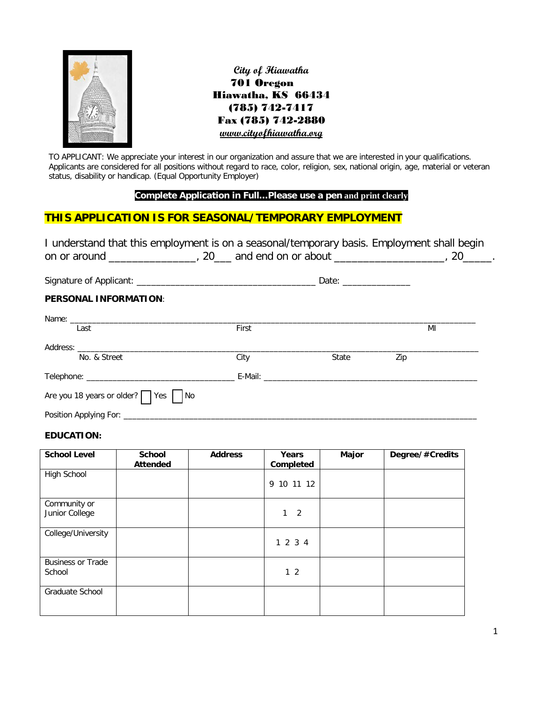

**City of Hiawatha** 701 Oregon Hiawatha, KS 66434 (785) 742-7417 Fax (785) 742-2880 **[www.cityofhiawatha.org](http://www.cityofhiawatha.org/)**

TO APPLICANT: We appreciate your interest in our organization and assure that we are interested in your qualifications. Applicants are considered for all positions without regard to race, color, religion, sex, national origin, age, material or veteran status, disability or handicap. (Equal Opportunity Employer)

### **Complete Application in Full…Please use a pen and print clearly**

# **THIS APPLICATION IS FOR SEASONAL/TEMPORARY EMPLOYMENT**

I understand that this employment is on a seasonal/temporary basis. Employment shall begin on or around \_\_\_\_\_\_\_\_\_\_\_\_\_\_\_\_\_, 20\_\_\_\_ and end on or about \_\_\_\_\_\_\_\_\_\_\_\_\_\_\_\_\_\_\_\_, 20\_\_\_\_\_\_. Signature of Applicant: \_\_\_\_\_\_\_\_\_\_\_\_\_\_\_\_\_\_\_\_\_\_\_\_\_\_\_\_\_\_\_\_\_\_\_\_\_ Date: \_\_\_\_\_\_\_\_\_\_\_\_\_\_ **PERSONAL INFORMATION**: Name: \_\_\_\_\_\_\_\_\_\_\_\_\_\_\_\_\_\_\_\_\_\_\_\_\_\_\_\_\_\_\_\_\_\_\_\_\_\_\_\_\_\_\_\_\_\_\_\_\_\_\_\_\_\_\_\_\_\_\_\_\_\_\_\_\_\_\_\_\_\_\_\_\_\_\_\_\_\_\_\_\_\_\_\_\_\_\_\_\_\_\_\_\_ Last First MI Address: \_\_\_\_\_\_\_\_\_\_\_\_\_\_\_\_\_\_\_\_\_\_\_\_\_\_\_\_\_\_\_\_\_\_\_\_\_\_\_\_\_\_\_\_\_\_\_\_\_\_\_\_\_\_\_\_\_\_\_\_\_\_\_\_\_\_\_\_\_\_\_\_\_\_\_\_\_\_\_\_\_\_\_\_\_\_\_\_\_\_\_\_ No. & Street Zip Telephone: \_\_\_\_\_\_\_\_\_\_\_\_\_\_\_\_\_\_\_\_\_\_\_\_\_\_\_\_\_\_\_\_\_\_ E-Mail: \_\_\_\_\_\_\_\_\_\_\_\_\_\_\_\_\_\_\_\_\_\_\_\_\_\_\_\_\_\_\_\_\_\_\_\_\_\_\_\_\_\_\_\_\_\_\_\_\_ Are you 18 years or older? | Yes | No Position Applying For: \_\_\_\_\_\_\_\_\_\_\_\_\_\_\_\_\_\_\_\_\_\_\_\_\_\_\_\_\_\_\_\_\_\_\_\_\_\_\_\_\_\_\_\_\_\_\_\_\_\_\_\_\_\_\_\_\_\_\_\_\_\_\_\_\_\_\_\_\_\_\_\_\_\_\_\_\_\_\_\_\_

### **EDUCATION:**

| <b>School Level</b>                | <b>School</b><br><b>Attended</b> | <b>Address</b> | Years<br>Completed  | Major | Degree/#Credits |
|------------------------------------|----------------------------------|----------------|---------------------|-------|-----------------|
| High School                        |                                  |                | 9 10 11 12          |       |                 |
| Community or<br>Junior College     |                                  |                | 2<br>$\overline{1}$ |       |                 |
| College/University                 |                                  |                | 1 2 3 4             |       |                 |
| <b>Business or Trade</b><br>School |                                  |                | 1 <sub>2</sub>      |       |                 |
| Graduate School                    |                                  |                |                     |       |                 |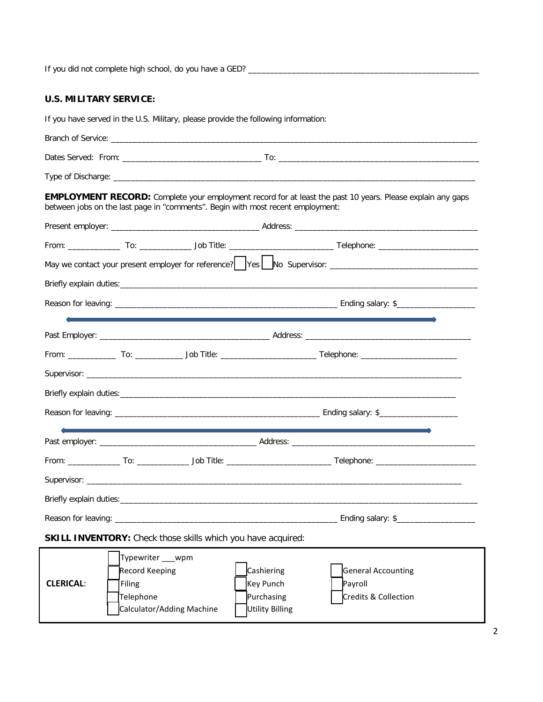If you did not complete high school, do you have a GED? \_\_\_\_\_\_\_\_\_\_\_\_\_\_\_\_\_\_\_\_\_\_\_\_\_\_\_\_\_\_\_\_\_\_\_\_\_\_\_\_\_\_\_\_\_\_\_\_\_\_\_\_\_

## **U.S. MILITARY SERVICE:**

If you have served in the U.S. Military, please provide the following information:

| <b>EMPLOYMENT RECORD:</b> Complete your employment record for at least the past 10 years. Please explain any gaps<br>between jobs on the last page in "comments". Begin with most recent employment: |                                                                                                                                                                                                               |  |  |  |
|------------------------------------------------------------------------------------------------------------------------------------------------------------------------------------------------------|---------------------------------------------------------------------------------------------------------------------------------------------------------------------------------------------------------------|--|--|--|
|                                                                                                                                                                                                      |                                                                                                                                                                                                               |  |  |  |
|                                                                                                                                                                                                      |                                                                                                                                                                                                               |  |  |  |
|                                                                                                                                                                                                      | May we contact your present employer for reference?   Yes   No Supervisor: _______________________________                                                                                                    |  |  |  |
|                                                                                                                                                                                                      |                                                                                                                                                                                                               |  |  |  |
|                                                                                                                                                                                                      |                                                                                                                                                                                                               |  |  |  |
|                                                                                                                                                                                                      |                                                                                                                                                                                                               |  |  |  |
|                                                                                                                                                                                                      |                                                                                                                                                                                                               |  |  |  |
|                                                                                                                                                                                                      |                                                                                                                                                                                                               |  |  |  |
|                                                                                                                                                                                                      |                                                                                                                                                                                                               |  |  |  |
|                                                                                                                                                                                                      |                                                                                                                                                                                                               |  |  |  |
|                                                                                                                                                                                                      |                                                                                                                                                                                                               |  |  |  |
|                                                                                                                                                                                                      |                                                                                                                                                                                                               |  |  |  |
|                                                                                                                                                                                                      |                                                                                                                                                                                                               |  |  |  |
|                                                                                                                                                                                                      |                                                                                                                                                                                                               |  |  |  |
|                                                                                                                                                                                                      |                                                                                                                                                                                                               |  |  |  |
|                                                                                                                                                                                                      |                                                                                                                                                                                                               |  |  |  |
| SKILL INVENTORY: Check those skills which you have acquired:                                                                                                                                         |                                                                                                                                                                                                               |  |  |  |
| <b>CLERICAL:</b>                                                                                                                                                                                     | Typewriter ___ wpm<br>Record Keeping<br>Cashiering<br>General Accounting<br>Key Punch<br>Payroll<br>Filing<br>Purchasing<br>Credits & Collection<br>Telephone<br>Calculator/Adding Machine<br>Utility Billing |  |  |  |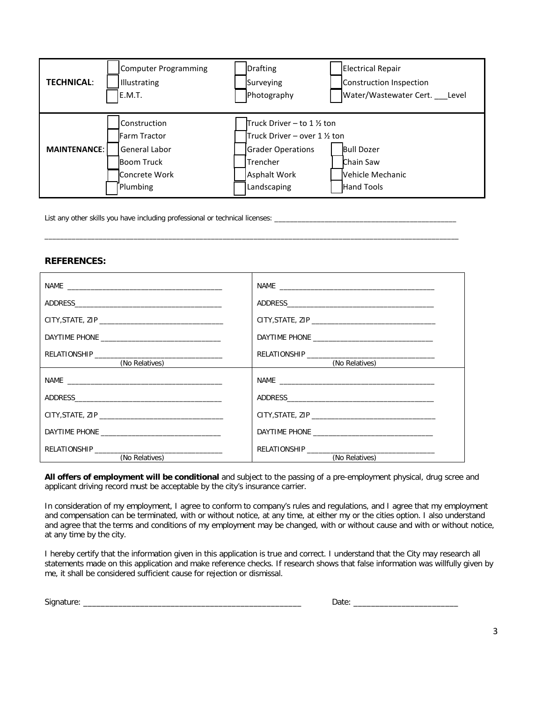| <b>TECHNICAL:</b>   | Computer Programming<br>Illustrating<br>E.M.T.                                                                 | Drafting<br><b>Electrical Repair</b><br>Construction Inspection<br>Surveying<br>Water/Wastewater Cert. Level<br>Photography                                                                                                           |
|---------------------|----------------------------------------------------------------------------------------------------------------|---------------------------------------------------------------------------------------------------------------------------------------------------------------------------------------------------------------------------------------|
| <b>MAINTENANCE:</b> | <b>Construction</b><br><b>IFarm Tractor</b><br>General Labor<br><b>Boom Truck</b><br>Concrete Work<br>Plumbing | Truck Driver – to 1 $\frac{1}{2}$ ton<br><b>ITruck Driver – over 1 ½ ton</b><br><b>Bull Dozer</b><br>Grader Operations<br><b>Chain Saw</b><br>Trencher<br><b>Asphalt Work</b><br><b>Vehicle Mechanic</b><br>Landscaping<br>Hand Tools |

List any other skills you have including professional or technical licenses: \_\_\_\_\_\_\_\_\_\_\_\_\_\_\_\_\_\_\_\_\_\_\_\_\_\_\_\_\_\_\_\_\_

#### **REFERENCES:**

| (No Relatives)                                              | (No Relatives)                                         |
|-------------------------------------------------------------|--------------------------------------------------------|
|                                                             |                                                        |
|                                                             |                                                        |
|                                                             |                                                        |
|                                                             | DAYTIME PHONE <b>EXAMPLE AND A SET AND A SET AND A</b> |
| RELATIONSHIP <b>EXAMPLE AND RELATIONS</b><br>(No Relatives) | (No Relatives)                                         |

\_\_\_\_\_\_\_\_\_\_\_\_\_\_\_\_\_\_\_\_\_\_\_\_\_\_\_\_\_\_\_\_\_\_\_\_\_\_\_\_\_\_\_\_\_\_\_\_\_\_\_\_\_\_\_\_\_\_\_\_\_\_\_\_\_\_\_\_\_\_\_\_\_\_\_\_\_\_\_\_\_\_\_\_\_\_\_\_\_\_\_\_\_\_\_\_\_\_\_\_\_\_\_\_\_\_\_

**All offers of employment will be conditional** and subject to the passing of a pre-employment physical, drug scree and applicant driving record must be acceptable by the city's insurance carrier.

In consideration of my employment, I agree to conform to company's rules and regulations, and I agree that my employment and compensation can be terminated, with or without notice, at any time, at either my or the cities option. I also understand and agree that the terms and conditions of my employment may be changed, with or without cause and with or without notice, at any time by the city.

I hereby certify that the information given in this application is true and correct. I understand that the City may research all statements made on this application and make reference checks. If research shows that false information was willfully given by me, it shall be considered sufficient cause for rejection or dismissal.

| Signature: | ______ |  |
|------------|--------|--|
|            |        |  |

Signature: \_\_\_\_\_\_\_\_\_\_\_\_\_\_\_\_\_\_\_\_\_\_\_\_\_\_\_\_\_\_\_\_\_\_\_\_\_\_\_\_\_\_\_\_\_\_\_\_\_\_ Date: \_\_\_\_\_\_\_\_\_\_\_\_\_\_\_\_\_\_\_\_\_\_\_\_